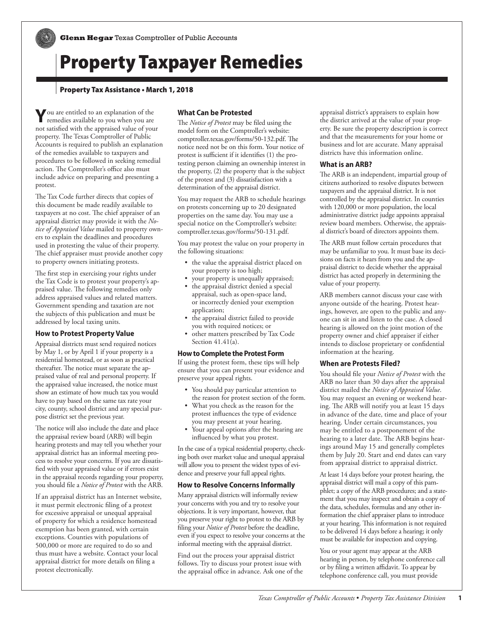# Property Taxpayer Remedies

# Property Tax Assistance • March 1, 2018

**Y**ou are entitled to an explanation of the remedies available to you when you are not satisfied with the appraised value of your property. The Texas Comptroller of Public Accounts is required to publish an explanation of the remedies available to taxpayers and procedures to be followed in seeking remedial action. The Comptroller's office also must include advice on preparing and presenting a protest.

The Tax Code further directs that copies of this document be made readily available to taxpayers at no cost. The chief appraiser of an appraisal district may provide it with the *No tice of Appraised Value* mailed to property own ers to explain the deadlines and procedures used in protesting the value of their property. The chief appraiser must provide another copy to property owners initiating protests.

The first step in exercising your rights under the Tax Code is to protest your property's ap praised value. The following remedies only address appraised values and related matters. Government spending and taxation are not the subjects of this publication and must be addressed by local taxing units.

## **How to Protest Property Value**

Appraisal districts must send required notices by May 1, or by April 1 if your property is a residential homestead, or as soon as practical thereafter. The notice must separate the ap praised value of real and personal property. If the appraised value increased, the notice must show an estimate of how much tax you would have to pay based on the same tax rate your city, county, school district and any special pur pose district set the previous year.

The notice will also include the date and place the appraisal review board (ARB) will begin hearing protests and may tell you whether your appraisal district has an informal meeting pro cess to resolve your concerns. If you are dissatis fied with your appraised value or if errors exist in the appraisal records regarding your property, you should file a *Notice of Protest* with the ARB.

If an appraisal district has an Internet website, it must permit electronic filing of a protest for excessive appraisal or unequal appraisal of property for which a residence homestead exemption has been granted, with certain exceptions. Counties with populations of 500,000 or more are required to do so and thus must have a website. Contact your local appraisal district for more details on filing a protest electronically.

## **What Can be Protested**

The *Notice of Protest* may be filed using the model form on the Comptroller's website: <comptroller.texas.gov/forms/50-132.pdf>. The notice need not be on this form. Your notice of protest is sufficient if it identifies (1) the pro testing person claiming an ownership interest in the property, (2) the property that is the subject of the protest and (3) dissatisfaction with a determination of the appraisal district.

You may request the ARB to schedule hearings on protests concerning up to 20 designated properties on the same day. You may use a special notice on the Comptroller's website: <comptroller.texas.gov/forms/50-131.pdf>.

You may protest the value on your property in the following situations:

- the value the appraisal district placed on your property is too high;
- your property is unequally appraised;
- the appraisal district denied a special appraisal, such as open-space land, or incorrectly denied your exemption application;
- the appraisal district failed to provide you with required notices; or
- other matters prescribed by Tax Code Section 41.41(a).

#### **How to Complete the Protest Form**

If using the protest form, these tips will help ensure that you can present your evidence and preserve your appeal rights.

- You should pay particular attention to the reason for protest section of the form.
- What you check as the reason for the protest influences the type of evidence you may present at your hearing.
- Your appeal options after the hearing are influenced by what you protest.

In the case of a typical residential property, check ing both over market value and unequal appraisal will allow you to present the widest types of evi dence and preserve your full appeal rights.

#### **How to Resolve Concerns Informally**

Many appraisal districts will informally review your concerns with you and try to resolve your objections. It is very important, however, that you preserve your right to protest to the ARB by filing your *Notice of Protest* before the deadline, even if you expect to resolve your concerns at the informal meeting with the appraisal district.

Find out the process your appraisal district follows. Try to discuss your protest issue with the appraisal office in advance. Ask one of the

appraisal district's appraisers to explain how the district arrived at the value of your prop erty. Be sure the property description is correct and that the measurements for your home or business and lot are accurate. Many appraisal districts have this information online.

### **What is an ARB?**

The ARB is an independent, impartial group of citizens authorized to resolve disputes between taxpayers and the appraisal district. It is not controlled by the appraisal district. In counties with 120,000 or more population, the local administrative district judge appoints appraisal review board members. Otherwise, the apprais al district's board of directors appoints them.

The ARB must follow certain procedures that may be unfamiliar to you. It must base its deci sions on facts it hears from you and the ap praisal district to decide whether the appraisal district has acted properly in determining the value of your property.

ARB members cannot discuss your case with anyone outside of the hearing. Protest hear ings, however, are open to the public and any one can sit in and listen to the case. A closed hearing is allowed on the joint motion of the property owner and chief appraiser if either intends to disclose proprietary or confidential information at the hearing.

#### **When are Protests Filed?**

You should file your *Notice of Protest* with the ARB no later than 30 days after the appraisal district mailed the *Notice of Appraised Value*. You may request an evening or weekend hear ing. The ARB will notify you at least 15 days in advance of the date, time and place of your hearing. Under certain circumstances, you may be entitled to a postponement of the hearing to a later date. The ARB begins hear ings around May 15 and generally completes them by July 20. Start and end dates can vary from appraisal district to appraisal district.

At least 14 days before your protest hearing, the appraisal district will mail a copy of this pam phlet; a copy of the ARB procedures; and a state ment that you may inspect and obtain a copy of the data, schedules, formulas and any other in formation the chief appraiser plans to introduce at your hearing. This information is not required to be delivered 14 days before a hearing; it only must be available for inspection and copying.

You or your agent may appear at the ARB hearing in person, by telephone conference call or by filing a written affidavit. To appear by telephone conference call, you must provide